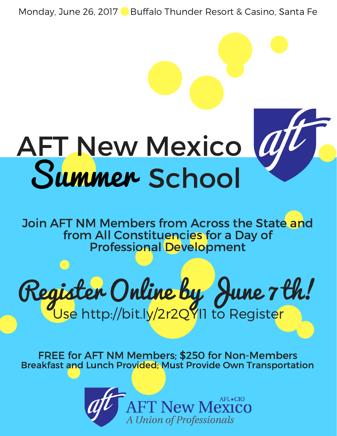Monday, June 26, 2017 Buffalo Thunder Resort & Casino, Santa Fe

# AFT New Mexico Summer School

Join AFT NM Members from Across the State and from All Constituencies for a Day of Professional Development



FREE for AFT NM Members; \$250 for Non-Members Breakfast and Lunch Provided; Must Provide Own Transportation

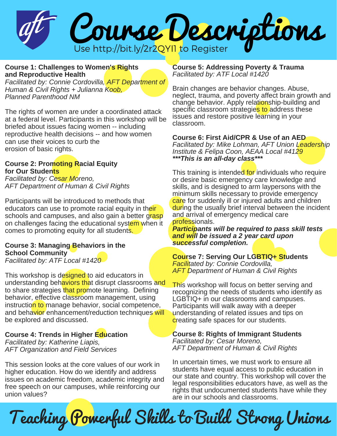

**Course 1: Challenges to Women's Rights and Reproductive Health**

*Facilitated by: Connie Cordovilla, AFT Department of Human & Civil Rights + Julianna Koob, Planned Parenthood NM*

The rights of women are under a coordinated attack at a federal level. Participants in this workshop will be briefed about issues facing women -- including reproductive health decisions -- and how women can use their voices to curb the erosion of basic rights.

#### **Course 2: Promoting Racial Equity for Our Students**

*Facilitated by: Cesar Moreno, AFT Department of Human & Civil Rights*

Participants will be introduced to methods that educators can use to promote racial equity in their schools and campuses, and also gain a better grasp on challenges facing the educational system when it comes to promoting equity for all students.

**Course 3: Managing Behaviors in the School Community** *Facilitated by: ATF Local #1420*

This workshop is designed to aid educators in understanding behaviors that disrupt classrooms and to share strategies that promote learning. Defining behavior, effective classroom management, using instruction to manage behavior, social competence, and behavior enhancement/reduction techniques will be explored and discussed.

**Course 4: Trends in Higher Education** *Facilitated by: Katherine Liapis, AFT Organization and Field Services*

This session looks at the core values of our work in higher education. How do we identify and address issues on academic freedom, academic integrity and free speech on our campuses, while reinforcing our union values?

**Course 5: Addressing Poverty & Trauma** *Facilitated by: ATF Local #1420*

Brain changes are behavior changes. Abuse, neglect, trauma, and poverty affect brain growth and change behavior. Apply relationship-building and specific classroom strategies to address these issues and restore positive learning in your classroom.

**Course 6: First Aid/CPR & Use of an AED** *Facilitated by: Mike Lohman, AFT Union Leadership Institute & Felipa Coon, AEAA Local #4129 \*\*\*This is an all-day class\*\*\**

This training is intended for individuals who require or desire basic emergency care knowledge and skills, and is designed to arm laypersons with the minimum skills necessary to provide emergency care for suddenly ill or injured adults and children during the usually brief interval between the incident and arrival of emergency medical care professionals.

*Participants will be required to pass skill tests and will be issued a 2 year card upon successful completion.*

**Course 7: Serving Our LGBTIQ+ Students** *Facilitated by: Connie Cordovilla, AFT Department of Human & Civil Rights*

This workshop will focus on better serving and recognizing the needs of students who identify as LGBTIQ+ in our classrooms and campuses. Participants will walk away with a deeper understanding of related issues and tips on creating safe spaces for our students.

**Course 8: Rights of Immigrant Students** *Facilitated by: Cesar Moreno, AFT Department of Human & Civil Rights*

In uncertain times, we must work to ensure all students have equal access to public education in our state and country. This workshop will cover the legal responsibilities educators have, as well as the rights that undocumented students have while they are in our schools and classrooms.

Teaching Powerful Skills to Build Strong Unions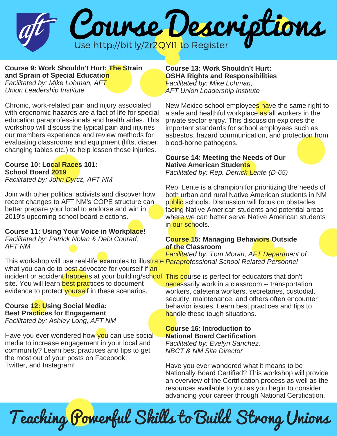

**Course 9: Work Shouldn't Hurt: The Strain and Sprain of Special Education** *Facilitated by: Mike Lohman, AFT*

*Union Leadership Institute*

Chronic, work-related pain and injury associated with ergonomic hazards are a fact of life for special education paraprofessionals and health aides. This workshop will discuss the typical pain and injuries our members experience and review methods for evaluating classrooms and equipment (lifts, diaper changing tables etc.) to help lessen those injuries.

## **Course 10: Local Races 101: School Board 2019**

*Facilitated by: John Dyrcz, AFT NM*

Join with other political activists and discover how recent changes to AFT NM's COPE structure can better prepare your local to endorse and win in 2019's upcoming school board elections.

## **Course 11: Using Your Voice in Workplace!**

*Facilitated by: Patrick Nolan & Debi Conrad, AFT NM*

This workshop will use real-life examples to illustrate *Paraprofessional School Related Personnel* what you can do to best advocate for yourself if an incident or acciden<mark>t happen</mark>s at your building/sch<mark>ool This co</mark>urse is perfect for educators that don't site. You will learn best practices to document evidence to protect yourself in these scenarios.

# **Course 12: Using Social Media: Best Practices for Engagement**

*Facilitated by: Ashley Long, AFT NM*

Have you ever wondered how you can use social media to increase engagement in your local and community? Learn best practices and tips to get the most out of your posts on Facebook, Twitter, and Instagram!

#### **Course 13: Work Shouldn't Hurt: OSHA Rights and Responsibilities** *Facilitated by: Mike Lohman,*

*AFT Union Leadership Institute*

New Mexico school employees have the same right to a safe and healthful workplace as all workers in the private sector enjoy. This discussion explores the important standards for school employees such as asbestos, hazard communication, and protection from blood-borne pathogens.

## **Course 14: Meeting the Needs of Our Native American Students**

*Facilitated by: Rep. Derrick Lente (D-65)*

Rep. Lente is a champion for prioritizing the needs of both urban and rural Native American students in NM public schools. Discussion will focus on obstacles facing Native American students and potential areas where we can better serve Native American students in our schools.

## **Course 15: Managing Behaviors Outside of the Classroom**

*Facilitated by: Tom Moran, AFT Department of*

necessarily work in a classroom -- transportation workers, cafeteria workers, secretaries, custodial, security, maintenance, and others often encounter behavior issues. Learn best practices and tips to handle these tough situations.

## **Course 16: Introduction to National Board Certification**

*Facilitated by: Evelyn Sanchez, NBCT & NM Site Director*

Have you ever wondered what it means to be Nationally Board Certified? This workshop will provide an overview of the Certification process as well as the resources available to you as you begin to consider advancing your career through National Certification.

Teaching Powerful Skills to Build Strong Unions